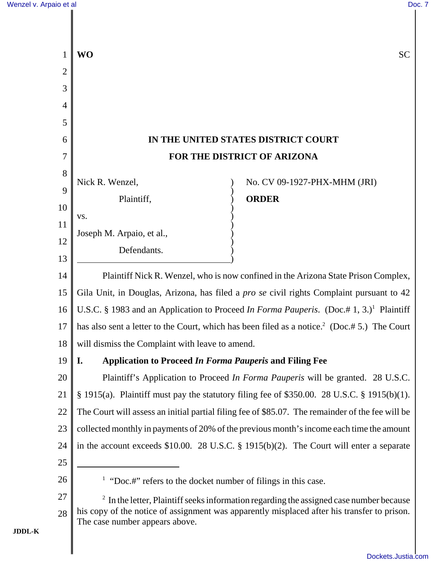|                | WO                                                                                                                                                                                         | <b>SC</b>                                                                               |  |
|----------------|--------------------------------------------------------------------------------------------------------------------------------------------------------------------------------------------|-----------------------------------------------------------------------------------------|--|
| $\overline{2}$ |                                                                                                                                                                                            |                                                                                         |  |
| 3              |                                                                                                                                                                                            |                                                                                         |  |
| 4              |                                                                                                                                                                                            |                                                                                         |  |
| 5              |                                                                                                                                                                                            |                                                                                         |  |
| 6              | IN THE UNITED STATES DISTRICT COURT                                                                                                                                                        |                                                                                         |  |
| 7              | FOR THE DISTRICT OF ARIZONA                                                                                                                                                                |                                                                                         |  |
| 8              | Nick R. Wenzel,                                                                                                                                                                            | No. CV 09-1927-PHX-MHM (JRI)                                                            |  |
| 9              | Plaintiff,                                                                                                                                                                                 | <b>ORDER</b>                                                                            |  |
| 10             | VS.                                                                                                                                                                                        |                                                                                         |  |
| 11             | Joseph M. Arpaio, et al.,                                                                                                                                                                  |                                                                                         |  |
| 12             | Defendants.                                                                                                                                                                                |                                                                                         |  |
| 13             |                                                                                                                                                                                            |                                                                                         |  |
| 14             | Plaintiff Nick R. Wenzel, who is now confined in the Arizona State Prison Complex,                                                                                                         |                                                                                         |  |
| 15             | Gila Unit, in Douglas, Arizona, has filed a pro se civil rights Complaint pursuant to 42                                                                                                   |                                                                                         |  |
| 16             | U.S.C. § 1983 and an Application to Proceed In Forma Pauperis. (Doc.# 1, 3.) <sup>1</sup> Plaintiff                                                                                        |                                                                                         |  |
| 17             | has also sent a letter to the Court, which has been filed as a notice. <sup>2</sup> (Doc.# 5.) The Court                                                                                   |                                                                                         |  |
| 18             | will dismiss the Complaint with leave to amend.                                                                                                                                            |                                                                                         |  |
| 19             | <b>Application to Proceed In Forma Pauperis and Filing Fee</b><br>I.                                                                                                                       |                                                                                         |  |
| 20             | Plaintiff's Application to Proceed In Forma Pauperis will be granted. 28 U.S.C.                                                                                                            |                                                                                         |  |
| 21             | $\S$ 1915(a). Plaintiff must pay the statutory filing fee of \$350.00. 28 U.S.C. § 1915(b)(1).                                                                                             |                                                                                         |  |
| 22             | The Court will assess an initial partial filing fee of \$85.07. The remainder of the fee will be                                                                                           |                                                                                         |  |
| 23             | collected monthly in payments of 20% of the previous month's income each time the amount                                                                                                   |                                                                                         |  |
| 24             |                                                                                                                                                                                            | in the account exceeds \$10.00. 28 U.S.C. § 1915(b)(2). The Court will enter a separate |  |
| 25             |                                                                                                                                                                                            |                                                                                         |  |
| 26             | <sup>1</sup> "Doc.#" refers to the docket number of filings in this case.                                                                                                                  |                                                                                         |  |
| 27             | $2\,$ In the letter, Plaintiff seeks information regarding the assigned case number because<br>his copy of the notice of assignment was apparently misplaced after his transfer to prison. |                                                                                         |  |
| 28             | The case number appears above.                                                                                                                                                             |                                                                                         |  |
|                |                                                                                                                                                                                            |                                                                                         |  |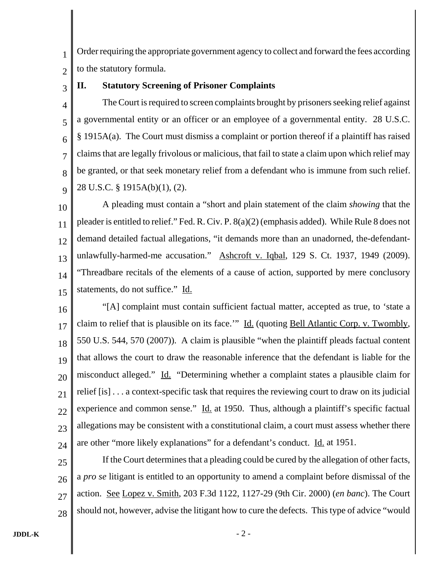1 2 Order requiring the appropriate government agency to collect and forward the fees according to the statutory formula.

3

## **II. Statutory Screening of Prisoner Complaints**

4 5 6 7 8  $\overline{Q}$ The Court is required to screen complaints brought by prisoners seeking relief against a governmental entity or an officer or an employee of a governmental entity. 28 U.S.C. § 1915A(a). The Court must dismiss a complaint or portion thereof if a plaintiff has raised claims that are legally frivolous or malicious, that fail to state a claim upon which relief may be granted, or that seek monetary relief from a defendant who is immune from such relief. 28 U.S.C. § 1915A(b)(1), (2).

10 11 12 13 14 15 A pleading must contain a "short and plain statement of the claim *showing* that the pleader is entitled to relief." Fed. R. Civ. P. 8(a)(2) (emphasis added). While Rule 8 does not demand detailed factual allegations, "it demands more than an unadorned, the-defendantunlawfully-harmed-me accusation." Ashcroft v. Iqbal, 129 S. Ct. 1937, 1949 (2009). "Threadbare recitals of the elements of a cause of action, supported by mere conclusory statements, do not suffice." Id.

16 17 18 19 20 21 22 23 24 "[A] complaint must contain sufficient factual matter, accepted as true, to 'state a claim to relief that is plausible on its face." Id. (quoting Bell Atlantic Corp. v. Twombly, 550 U.S. 544, 570 (2007)). A claim is plausible "when the plaintiff pleads factual content that allows the court to draw the reasonable inference that the defendant is liable for the misconduct alleged." Id. "Determining whether a complaint states a plausible claim for relief [is] . . . a context-specific task that requires the reviewing court to draw on its judicial experience and common sense." Id. at 1950. Thus, although a plaintiff's specific factual allegations may be consistent with a constitutional claim, a court must assess whether there are other "more likely explanations" for a defendant's conduct. Id. at 1951.

25 26 27 28 If the Court determines that a pleading could be cured by the allegation of other facts, a *pro se* litigant is entitled to an opportunity to amend a complaint before dismissal of the action. See Lopez v. Smith, 203 F.3d 1122, 1127-29 (9th Cir. 2000) (*en banc*). The Court should not, however, advise the litigant how to cure the defects. This type of advice "would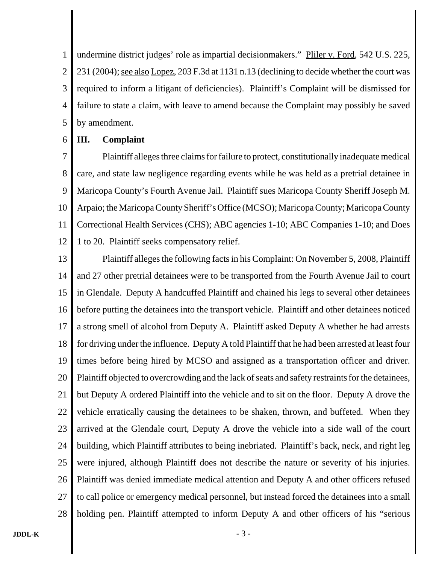1 2 3 4 5 undermine district judges' role as impartial decisionmakers." Pliler v. Ford, 542 U.S. 225, 231 (2004); see also Lopez, 203 F.3d at 1131 n.13 (declining to decide whether the court was required to inform a litigant of deficiencies). Plaintiff's Complaint will be dismissed for failure to state a claim, with leave to amend because the Complaint may possibly be saved by amendment.

#### 6 **III. Complaint**

7 8 9 10 11 12 Plaintiff alleges three claims for failure to protect, constitutionally inadequate medical care, and state law negligence regarding events while he was held as a pretrial detainee in Maricopa County's Fourth Avenue Jail. Plaintiff sues Maricopa County Sheriff Joseph M. Arpaio; the Maricopa County Sheriff's Office (MCSO); Maricopa County; Maricopa County Correctional Health Services (CHS); ABC agencies 1-10; ABC Companies 1-10; and Does 1 to 20. Plaintiff seeks compensatory relief.

13 14 15 16 17 18 19 20 21 22 23 24 25 26 27 28 Plaintiff alleges the following facts in his Complaint: On November 5, 2008, Plaintiff and 27 other pretrial detainees were to be transported from the Fourth Avenue Jail to court in Glendale. Deputy A handcuffed Plaintiff and chained his legs to several other detainees before putting the detainees into the transport vehicle. Plaintiff and other detainees noticed a strong smell of alcohol from Deputy A. Plaintiff asked Deputy A whether he had arrests for driving under the influence. Deputy A told Plaintiff that he had been arrested at least four times before being hired by MCSO and assigned as a transportation officer and driver. Plaintiff objected to overcrowding and the lack of seats and safety restraints for the detainees, but Deputy A ordered Plaintiff into the vehicle and to sit on the floor. Deputy A drove the vehicle erratically causing the detainees to be shaken, thrown, and buffeted. When they arrived at the Glendale court, Deputy A drove the vehicle into a side wall of the court building, which Plaintiff attributes to being inebriated. Plaintiff's back, neck, and right leg were injured, although Plaintiff does not describe the nature or severity of his injuries. Plaintiff was denied immediate medical attention and Deputy A and other officers refused to call police or emergency medical personnel, but instead forced the detainees into a small holding pen. Plaintiff attempted to inform Deputy A and other officers of his "serious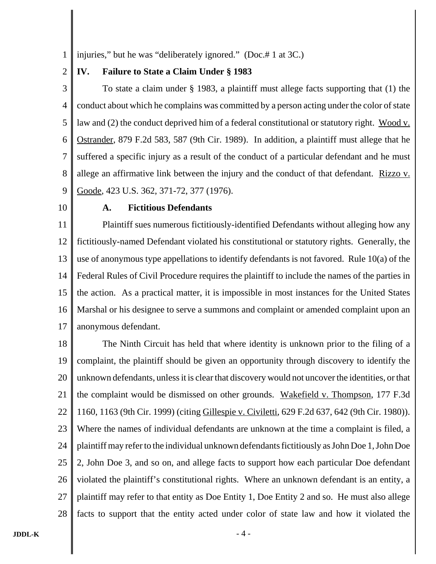1 injuries," but he was "deliberately ignored." (Doc.# 1 at 3C.)

#### 2 **IV. Failure to State a Claim Under § 1983**

3 4 5 6 7 8 9 To state a claim under § 1983, a plaintiff must allege facts supporting that (1) the conduct about which he complains was committed by a person acting under the color of state law and (2) the conduct deprived him of a federal constitutional or statutory right. Wood v. Ostrander, 879 F.2d 583, 587 (9th Cir. 1989). In addition, a plaintiff must allege that he suffered a specific injury as a result of the conduct of a particular defendant and he must allege an affirmative link between the injury and the conduct of that defendant. Rizzo v. Goode, 423 U.S. 362, 371-72, 377 (1976).

10

#### **A. Fictitious Defendants**

11 12 13 14 15 16 17 Plaintiff sues numerous fictitiously-identified Defendants without alleging how any fictitiously-named Defendant violated his constitutional or statutory rights. Generally, the use of anonymous type appellations to identify defendants is not favored. Rule 10(a) of the Federal Rules of Civil Procedure requires the plaintiff to include the names of the parties in the action. As a practical matter, it is impossible in most instances for the United States Marshal or his designee to serve a summons and complaint or amended complaint upon an anonymous defendant.

18 19 20 21 22 23 24 25 26 27 28 The Ninth Circuit has held that where identity is unknown prior to the filing of a complaint, the plaintiff should be given an opportunity through discovery to identify the unknown defendants, unless it is clear that discovery would not uncover the identities, or that the complaint would be dismissed on other grounds. Wakefield v. Thompson, 177 F.3d 1160, 1163 (9th Cir. 1999) (citing Gillespie v. Civiletti, 629 F.2d 637, 642 (9th Cir. 1980)). Where the names of individual defendants are unknown at the time a complaint is filed, a plaintiff may refer to the individual unknown defendants fictitiously as John Doe 1, John Doe 2, John Doe 3, and so on, and allege facts to support how each particular Doe defendant violated the plaintiff's constitutional rights. Where an unknown defendant is an entity, a plaintiff may refer to that entity as Doe Entity 1, Doe Entity 2 and so. He must also allege facts to support that the entity acted under color of state law and how it violated the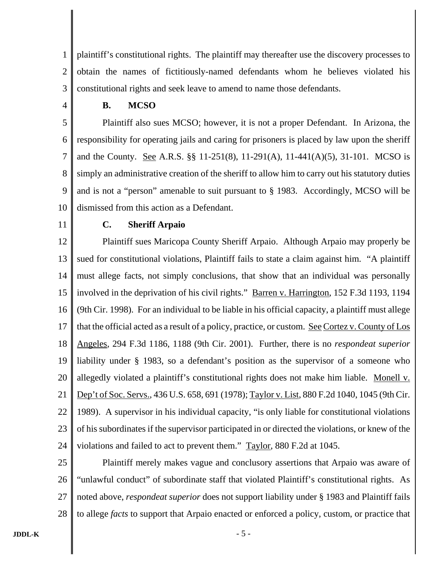1 2 3 plaintiff's constitutional rights. The plaintiff may thereafter use the discovery processes to obtain the names of fictitiously-named defendants whom he believes violated his constitutional rights and seek leave to amend to name those defendants.

4

#### **B. MCSO**

5 6 7 8 9 10 Plaintiff also sues MCSO; however, it is not a proper Defendant. In Arizona, the responsibility for operating jails and caring for prisoners is placed by law upon the sheriff and the County. See A.R.S. §§ 11-251(8), 11-291(A), 11-441(A)(5), 31-101. MCSO is simply an administrative creation of the sheriff to allow him to carry out his statutory duties and is not a "person" amenable to suit pursuant to § 1983. Accordingly, MCSO will be dismissed from this action as a Defendant.

11

## **C. Sheriff Arpaio**

12 13 14 15 16 17 18 19 20 21 22 23 24 Plaintiff sues Maricopa County Sheriff Arpaio. Although Arpaio may properly be sued for constitutional violations, Plaintiff fails to state a claim against him. "A plaintiff must allege facts, not simply conclusions, that show that an individual was personally involved in the deprivation of his civil rights." Barren v. Harrington, 152 F.3d 1193, 1194 (9th Cir. 1998). For an individual to be liable in his official capacity, a plaintiff must allege that the official acted as a result of a policy, practice, or custom. See Cortez v. County of Los Angeles, 294 F.3d 1186, 1188 (9th Cir. 2001). Further, there is no *respondeat superior* liability under § 1983, so a defendant's position as the supervisor of a someone who allegedly violated a plaintiff's constitutional rights does not make him liable. Monell v. Dep't of Soc. Servs., 436 U.S. 658, 691 (1978); Taylor v. List, 880 F.2d 1040, 1045 (9th Cir. 1989). A supervisor in his individual capacity, "is only liable for constitutional violations of his subordinates if the supervisor participated in or directed the violations, or knew of the violations and failed to act to prevent them." Taylor, 880 F.2d at 1045.

25 26 27 28 Plaintiff merely makes vague and conclusory assertions that Arpaio was aware of "unlawful conduct" of subordinate staff that violated Plaintiff's constitutional rights. As noted above, *respondeat superior* does not support liability under § 1983 and Plaintiff fails to allege *facts* to support that Arpaio enacted or enforced a policy, custom, or practice that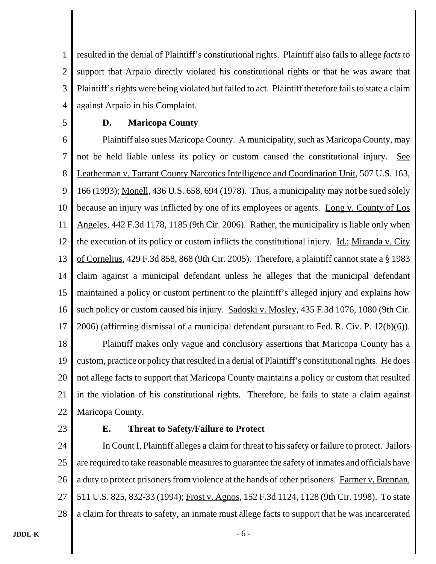1 2 3 4 resulted in the denial of Plaintiff's constitutional rights. Plaintiff also fails to allege *facts* to support that Arpaio directly violated his constitutional rights or that he was aware that Plaintiff's rights were being violated but failed to act. Plaintiff therefore fails to state a claim against Arpaio in his Complaint.

5

#### **D. Maricopa County**

6 7 8 9 10 11 12 13 14 15 16 17 18 19 20 21 22 Plaintiff also sues Maricopa County. A municipality, such as Maricopa County, may not be held liable unless its policy or custom caused the constitutional injury. See Leatherman v. Tarrant County Narcotics Intelligence and Coordination Unit, 507 U.S. 163, 166 (1993); Monell, 436 U.S. 658, 694 (1978). Thus, a municipality may not be sued solely because an injury was inflicted by one of its employees or agents. Long v. County of Los Angeles, 442 F.3d 1178, 1185 (9th Cir. 2006). Rather, the municipality is liable only when the execution of its policy or custom inflicts the constitutional injury. <u>Id.; Miranda v. City</u> of Cornelius, 429 F.3d 858, 868 (9th Cir. 2005). Therefore, a plaintiff cannot state a § 1983 claim against a municipal defendant unless he alleges that the municipal defendant maintained a policy or custom pertinent to the plaintiff's alleged injury and explains how such policy or custom caused his injury. Sadoski v. Mosley, 435 F.3d 1076, 1080 (9th Cir. 2006) (affirming dismissal of a municipal defendant pursuant to Fed. R. Civ. P. 12(b)(6)). Plaintiff makes only vague and conclusory assertions that Maricopa County has a custom, practice or policy that resulted in a denial of Plaintiff's constitutional rights. He does not allege facts to support that Maricopa County maintains a policy or custom that resulted in the violation of his constitutional rights. Therefore, he fails to state a claim against Maricopa County.

23

#### **E. Threat to Safety/Failure to Protect**

24 25 26 27 28 In Count I, Plaintiff alleges a claim for threat to his safety or failure to protect. Jailors are required to take reasonable measures to guarantee the safety of inmates and officials have a duty to protect prisoners from violence at the hands of other prisoners. Farmer v. Brennan, 511 U.S. 825, 832-33 (1994); Frost v. Agnos, 152 F.3d 1124, 1128 (9th Cir. 1998). To state a claim for threats to safety, an inmate must allege facts to support that he was incarcerated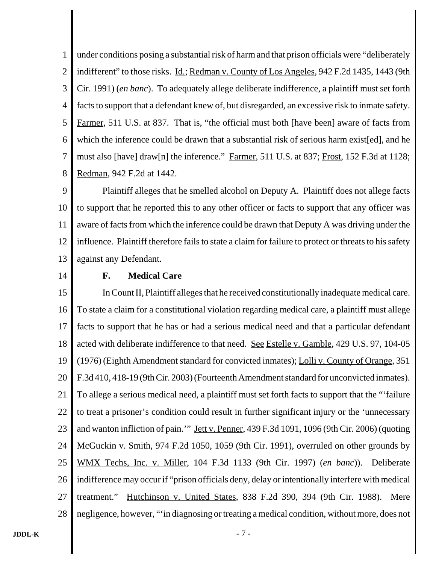1 2 3 4 5 6 7 8 under conditions posing a substantial risk of harm and that prison officials were "deliberately indifferent" to those risks. Id.; Redman v. County of Los Angeles, 942 F.2d 1435, 1443 (9th Cir. 1991) (*en banc*). To adequately allege deliberate indifference, a plaintiff must set forth facts to support that a defendant knew of, but disregarded, an excessive risk to inmate safety. Farmer, 511 U.S. at 837. That is, "the official must both [have been] aware of facts from which the inference could be drawn that a substantial risk of serious harm exist[ed], and he must also [have] draw[n] the inference." Farmer, 511 U.S. at 837; Frost, 152 F.3d at 1128; Redman, 942 F.2d at 1442.

9 10 11 12 13 Plaintiff alleges that he smelled alcohol on Deputy A. Plaintiff does not allege facts to support that he reported this to any other officer or facts to support that any officer was aware of facts from which the inference could be drawn that Deputy A was driving under the influence. Plaintiff therefore fails to state a claim for failure to protect or threats to his safety against any Defendant.

14

## **F. Medical Care**

15 16 17 18 19 20 21 22 23 24 25 26 27 28 In Count II, Plaintiff alleges that he received constitutionally inadequate medical care. To state a claim for a constitutional violation regarding medical care, a plaintiff must allege facts to support that he has or had a serious medical need and that a particular defendant acted with deliberate indifference to that need. See Estelle v. Gamble, 429 U.S. 97, 104-05 (1976) (Eighth Amendment standard for convicted inmates); Lolli v. County of Orange, 351 F.3d 410, 418-19 (9th Cir. 2003) (Fourteenth Amendment standard for unconvicted inmates). To allege a serious medical need, a plaintiff must set forth facts to support that the "'failure to treat a prisoner's condition could result in further significant injury or the 'unnecessary and wanton infliction of pain.'" Jett v. Penner, 439 F.3d 1091, 1096 (9th Cir. 2006) (quoting McGuckin v. Smith, 974 F.2d 1050, 1059 (9th Cir. 1991), overruled on other grounds by WMX Techs, Inc. v. Miller, 104 F.3d 1133 (9th Cir. 1997) (*en banc*)). Deliberate indifference may occur if "prison officials deny, delay or intentionally interfere with medical treatment." Hutchinson v. United States, 838 F.2d 390, 394 (9th Cir. 1988). Mere negligence, however, "'in diagnosing or treating a medical condition, without more, does not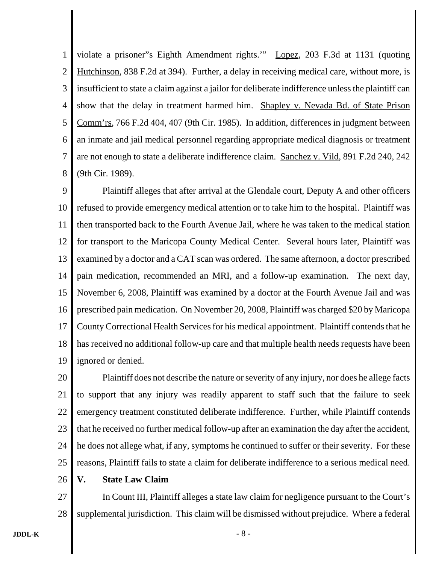1 2 3 4 5 6 7 8 violate a prisoner"s Eighth Amendment rights.'" Lopez, 203 F.3d at 1131 (quoting Hutchinson, 838 F.2d at 394). Further, a delay in receiving medical care, without more, is insufficient to state a claim against a jailor for deliberate indifference unless the plaintiff can show that the delay in treatment harmed him. Shapley v. Nevada Bd. of State Prison Comm'rs, 766 F.2d 404, 407 (9th Cir. 1985). In addition, differences in judgment between an inmate and jail medical personnel regarding appropriate medical diagnosis or treatment are not enough to state a deliberate indifference claim. Sanchez v. Vild, 891 F.2d 240, 242 (9th Cir. 1989).

9 10 11 12 13 14 15 16 17 18 19 Plaintiff alleges that after arrival at the Glendale court, Deputy A and other officers refused to provide emergency medical attention or to take him to the hospital. Plaintiff was then transported back to the Fourth Avenue Jail, where he was taken to the medical station for transport to the Maricopa County Medical Center. Several hours later, Plaintiff was examined by a doctor and a CAT scan was ordered. The same afternoon, a doctor prescribed pain medication, recommended an MRI, and a follow-up examination. The next day, November 6, 2008, Plaintiff was examined by a doctor at the Fourth Avenue Jail and was prescribed pain medication. On November 20, 2008, Plaintiff was charged \$20 by Maricopa County Correctional Health Services for his medical appointment. Plaintiff contends that he has received no additional follow-up care and that multiple health needs requests have been ignored or denied.

20 21 22 23 24 25 Plaintiff does not describe the nature or severity of any injury, nor does he allege facts to support that any injury was readily apparent to staff such that the failure to seek emergency treatment constituted deliberate indifference. Further, while Plaintiff contends that he received no further medical follow-up after an examination the day after the accident, he does not allege what, if any, symptoms he continued to suffer or their severity. For these reasons, Plaintiff fails to state a claim for deliberate indifference to a serious medical need.

26 **V. State Law Claim**

27 28 In Count III, Plaintiff alleges a state law claim for negligence pursuant to the Court's supplemental jurisdiction. This claim will be dismissed without prejudice. Where a federal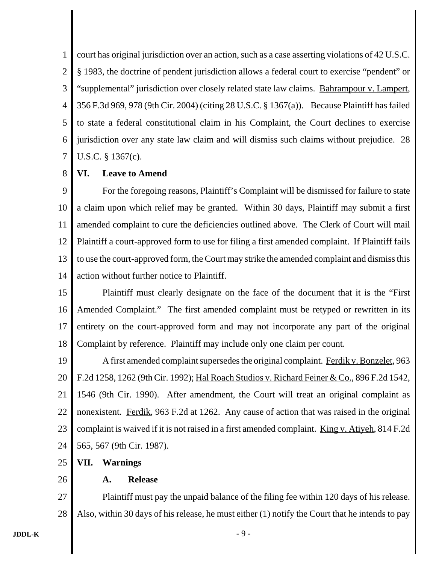1 2 3 4 5 6 7 court has original jurisdiction over an action, such as a case asserting violations of 42 U.S.C. § 1983, the doctrine of pendent jurisdiction allows a federal court to exercise "pendent" or "supplemental" jurisdiction over closely related state law claims. Bahrampour v. Lampert, 356 F.3d 969, 978 (9th Cir. 2004) (citing 28 U.S.C. § 1367(a)). Because Plaintiff has failed to state a federal constitutional claim in his Complaint, the Court declines to exercise jurisdiction over any state law claim and will dismiss such claims without prejudice. 28 U.S.C. § 1367(c).

#### 8 **VI. Leave to Amend**

9 10 11 12 13 14 For the foregoing reasons, Plaintiff's Complaint will be dismissed for failure to state a claim upon which relief may be granted. Within 30 days, Plaintiff may submit a first amended complaint to cure the deficiencies outlined above. The Clerk of Court will mail Plaintiff a court-approved form to use for filing a first amended complaint. If Plaintiff fails to use the court-approved form, the Court may strike the amended complaint and dismiss this action without further notice to Plaintiff.

15 16 17 18 Plaintiff must clearly designate on the face of the document that it is the "First Amended Complaint." The first amended complaint must be retyped or rewritten in its entirety on the court-approved form and may not incorporate any part of the original Complaint by reference. Plaintiff may include only one claim per count.

19 20 21 22 23 24 A first amended complaint supersedes the original complaint. Ferdik v. Bonzelet, 963 F.2d 1258, 1262 (9th Cir. 1992); Hal Roach Studios v. Richard Feiner & Co., 896 F.2d 1542, 1546 (9th Cir. 1990). After amendment, the Court will treat an original complaint as nonexistent. Ferdik, 963 F.2d at 1262. Any cause of action that was raised in the original complaint is waived if it is not raised in a first amended complaint. King v. Atiyeh, 814 F.2d 565, 567 (9th Cir. 1987).

25 **VII. Warnings**

26

## **A. Release**

27 28 Plaintiff must pay the unpaid balance of the filing fee within 120 days of his release. Also, within 30 days of his release, he must either (1) notify the Court that he intends to pay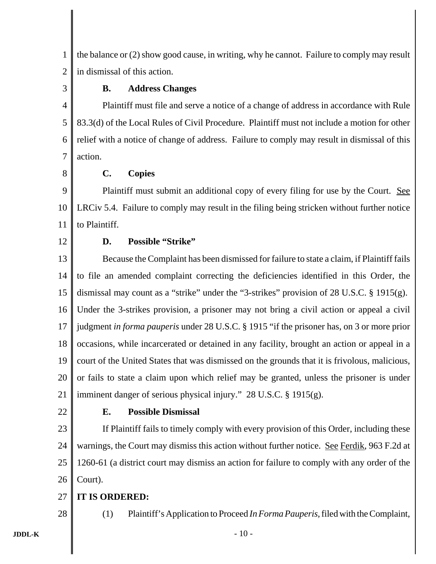1 2 the balance or (2) show good cause, in writing, why he cannot. Failure to comply may result in dismissal of this action.

3

# **B. Address Changes**

4 5 6 7 Plaintiff must file and serve a notice of a change of address in accordance with Rule 83.3(d) of the Local Rules of Civil Procedure. Plaintiff must not include a motion for other relief with a notice of change of address. Failure to comply may result in dismissal of this action.

8

## **C. Copies**

9 10 11 Plaintiff must submit an additional copy of every filing for use by the Court. See LRCiv 5.4. Failure to comply may result in the filing being stricken without further notice to Plaintiff.

12

## **D. Possible "Strike"**

13 14 15 16 17 18 19 20 21 Because the Complaint has been dismissed for failure to state a claim, if Plaintiff fails to file an amended complaint correcting the deficiencies identified in this Order, the dismissal may count as a "strike" under the "3-strikes" provision of 28 U.S.C. § 1915(g). Under the 3-strikes provision, a prisoner may not bring a civil action or appeal a civil judgment *in forma pauperis* under 28 U.S.C. § 1915 "if the prisoner has, on 3 or more prior occasions, while incarcerated or detained in any facility, brought an action or appeal in a court of the United States that was dismissed on the grounds that it is frivolous, malicious, or fails to state a claim upon which relief may be granted, unless the prisoner is under imminent danger of serious physical injury." 28 U.S.C. § 1915(g).

22

28

# **E. Possible Dismissal**

23 24 25 26 If Plaintiff fails to timely comply with every provision of this Order, including these warnings, the Court may dismiss this action without further notice. See Ferdik, 963 F.2d at 1260-61 (a district court may dismiss an action for failure to comply with any order of the Court).

#### 27 **IT IS ORDERED:**

(1) Plaintiff's Application to Proceed *In Forma Pauperis,* filed with the Complaint,